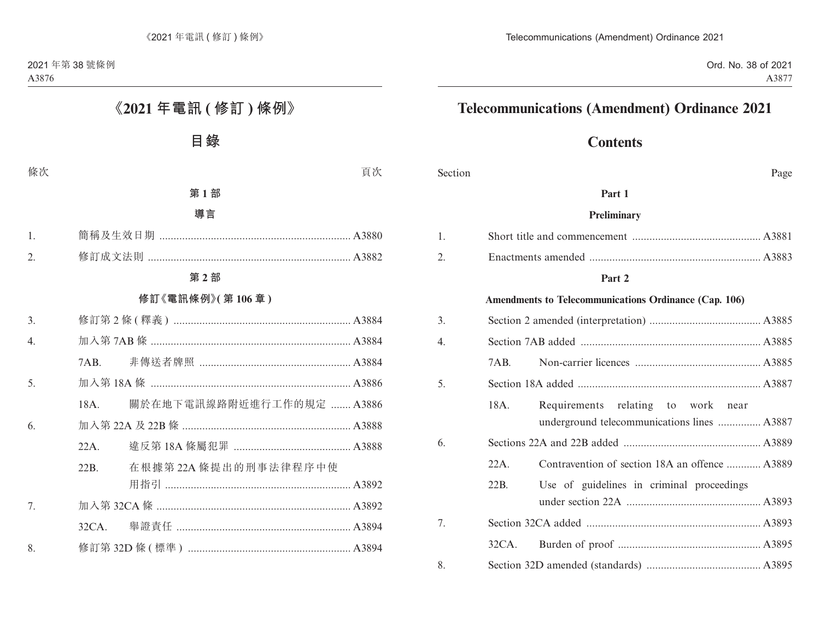# **Telecommunications (Amendment) Ordinance 2021**

# **Contents**

| Section |          |                                                                                   | Page |
|---------|----------|-----------------------------------------------------------------------------------|------|
|         |          | Part 1                                                                            |      |
|         |          | Preliminary                                                                       |      |
| 1.      |          |                                                                                   |      |
| 2.      |          |                                                                                   |      |
|         |          | Part 2                                                                            |      |
|         |          | Amendments to Telecommunications Ordinance (Cap. 106)                             |      |
| 3.      |          |                                                                                   |      |
| 4.      |          |                                                                                   |      |
|         | 7AB.     |                                                                                   |      |
| 5.      |          |                                                                                   |      |
|         | 18A.     | Requirements relating to work near<br>underground telecommunications lines  A3887 |      |
| 6.      |          |                                                                                   |      |
|         | $22A$ .  | Contravention of section 18A an offence  A3889                                    |      |
|         | 22B.     | Use of guidelines in criminal proceedings                                         |      |
| 7.      |          |                                                                                   |      |
|         | $32CA$ . |                                                                                   |      |
| 8.      |          |                                                                                   |      |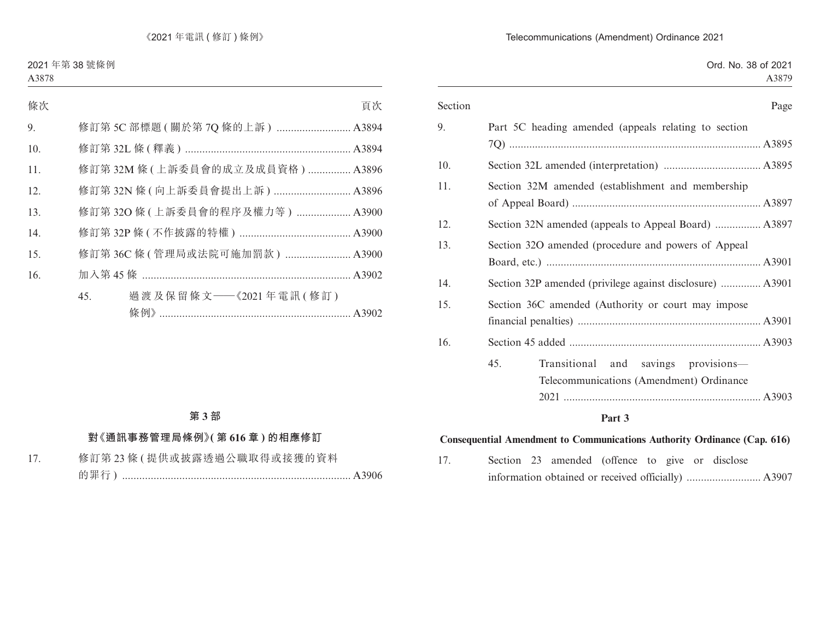#### Telecommunications (Amendment) Ordinance 2021

| Section | Page                                                      |
|---------|-----------------------------------------------------------|
| 9.      | Part 5C heading amended (appeals relating to section      |
|         |                                                           |
| 10.     |                                                           |
| 11.     | Section 32M amended (establishment and membership         |
|         |                                                           |
| 12.     | Section 32N amended (appeals to Appeal Board)  A3897      |
| 13.     | Section 32O amended (procedure and powers of Appeal       |
|         |                                                           |
| 14.     | Section 32P amended (privilege against disclosure)  A3901 |
| 15.     | Section 36C amended (Authority or court may impose        |
|         |                                                           |
| 16.     |                                                           |
|         | 45.<br>Transitional<br>and savings provisions-            |
|         | Telecommunications (Amendment) Ordinance                  |
|         |                                                           |
|         | $\mathbf{D}$ and $\mathbf{A}$                             |

#### **Part 3**

#### **Consequential Amendment to Communications Authority Ordinance (Cap. 616)**

17. Section 23 amended (offence to give or disclose information obtained or received officially) .......................... A3907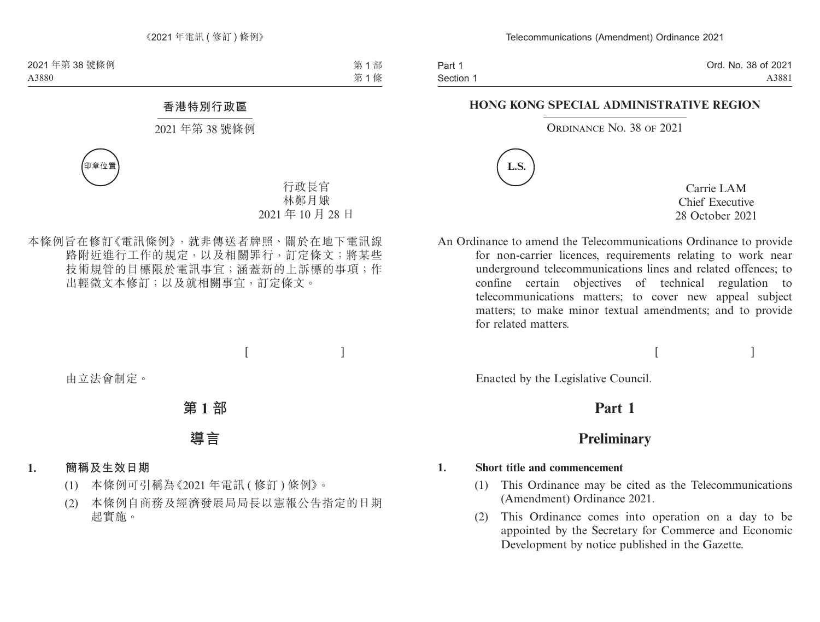Part 1 Section 1 Ord. No. 38 of 2021 A3881

#### **HONG KONG SPECIAL ADMINISTRATIVE REGION**

#### ORDINANCE NO. 38 OF 2021



Carrie LAM Chief Executive 28 October 2021

 $[$   $]$ 

An Ordinance to amend the Telecommunications Ordinance to provide for non-carrier licences, requirements relating to work near underground telecommunications lines and related offences; to confine certain objectives of technical regulation to telecommunications matters; to cover new appeal subject matters; to make minor textual amendments; and to provide for related matters.

Enacted by the Legislative Council.

# **Part 1**

# **Preliminary**

#### **1. Short title and commencement**

- (1) This Ordinance may be cited as the Telecommunications (Amendment) Ordinance 2021.
- (2) This Ordinance comes into operation on a day to be appointed by the Secretary for Commerce and Economic Development by notice published in the Gazette.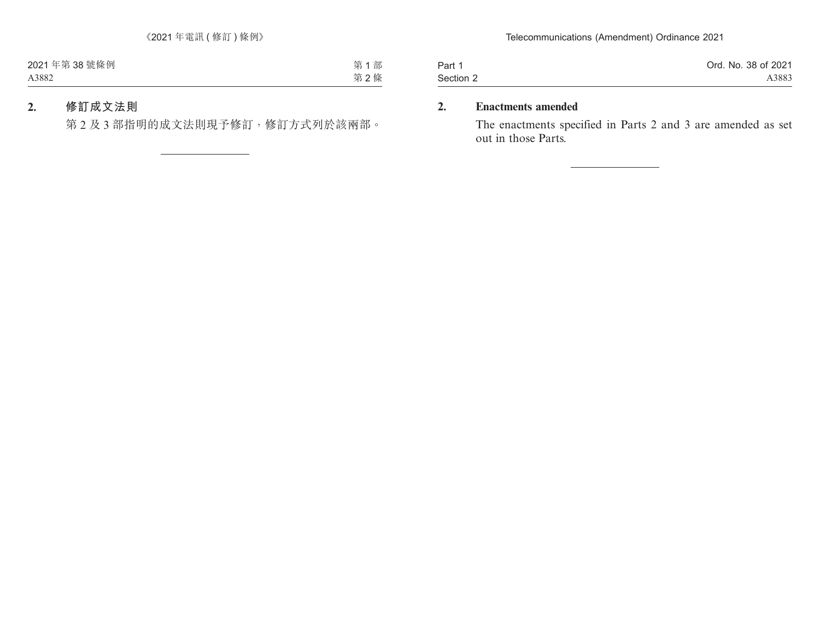| Part 1    | Ord. No. 38 of 2021 |
|-----------|---------------------|
| Section 2 | A3883               |

### **2. Enactments amended**

The enactments specified in Parts 2 and 3 are amended as set out in those Parts.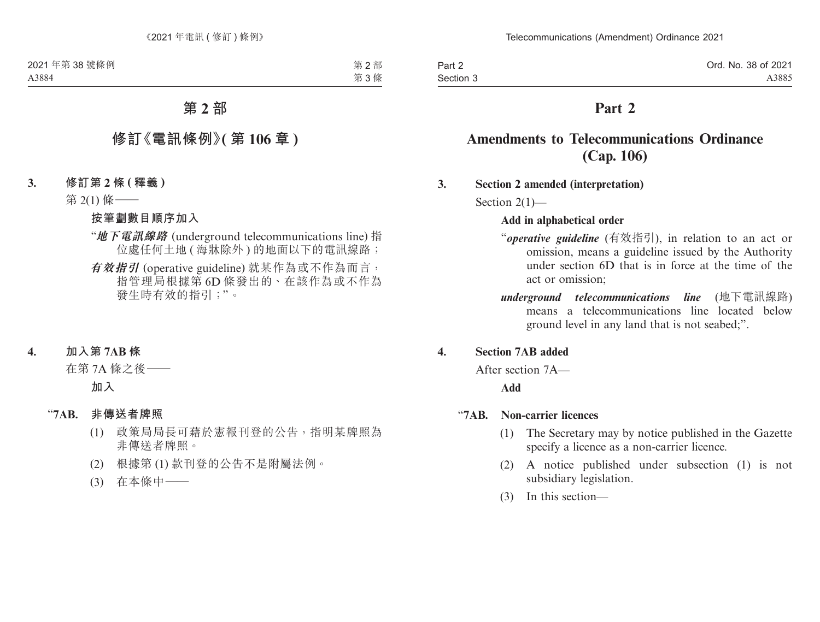Part 2 Section 3 Ord. No. 38 of 2021 A3885

# **Part 2**

# **Amendments to Telecommunications Ordinance (Cap. 106)**

#### **3. Section 2 amended (interpretation)**

Section 2(1)—

#### **Add in alphabetical order**

- "*operative guideline* (有效指引), in relation to an act or omission, means a guideline issued by the Authority under section 6D that is in force at the time of the act or omission;
- *underground telecommunications line* (地下電訊線路) means a telecommunications line located below ground level in any land that is not seabed;".

#### **4. Section 7AB added**

After section 7A—

#### **Add**

#### "**7AB. Non-carrier licences**

- (1) The Secretary may by notice published in the Gazette specify a licence as a non-carrier licence.
- (2) A notice published under subsection (1) is not subsidiary legislation.
- (3) In this section—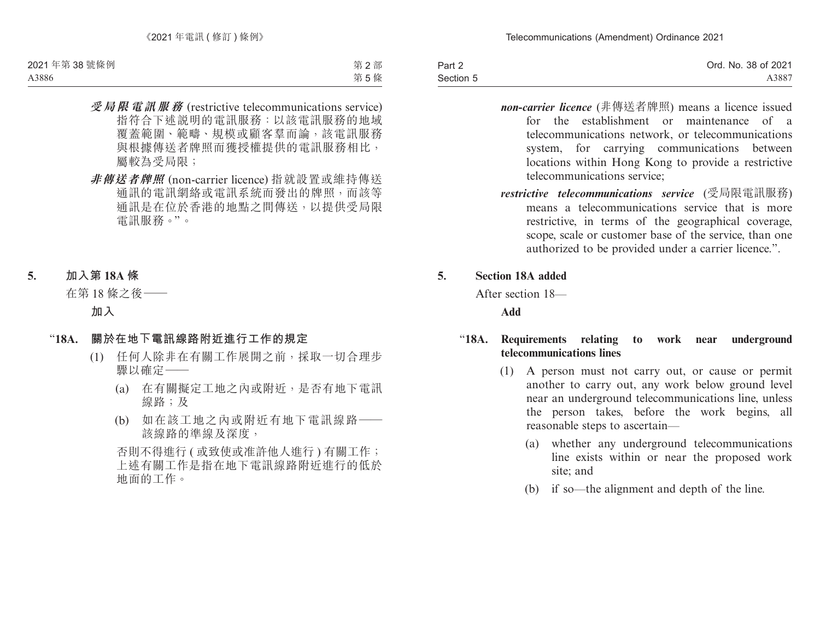| Part 2    | Ord. No. 38 of 2021 |
|-----------|---------------------|
| Section 5 | A3887               |

- *non-carrier licence* (非傳送者牌照) means a licence issued for the establishment or maintenance of a telecommunications network, or telecommunications system, for carrying communications between locations within Hong Kong to provide a restrictive telecommunications service;
- *restrictive telecommunications service* (受局限電訊服務) means a telecommunications service that is more restrictive, in terms of the geographical coverage, scope, scale or customer base of the service, than one authorized to be provided under a carrier licence.".

#### **5. Section 18A added**

After section 18—

**Add**

#### "**18A. Requirements relating to work near underground telecommunications lines**

- (1) A person must not carry out, or cause or permit another to carry out, any work below ground level near an underground telecommunications line, unless the person takes, before the work begins, all reasonable steps to ascertain—
	- (a) whether any underground telecommunications line exists within or near the proposed work site; and
	- (b) if so—the alignment and depth of the line.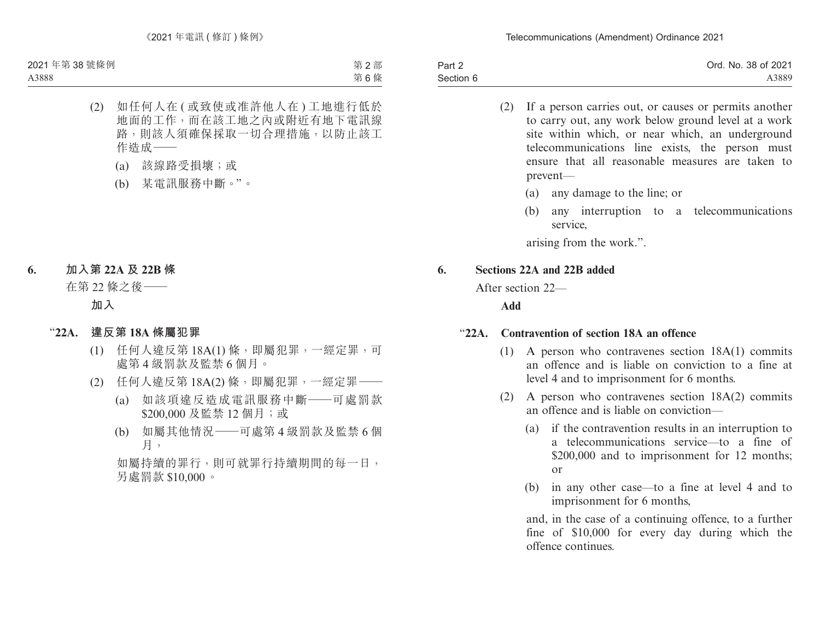| Part 2    | Ord. No. 38 of 2021 |
|-----------|---------------------|
| Section 6 | A3889               |

- (2) If a person carries out, or causes or permits another to carry out, any work below ground level at a work site within which, or near which, an underground telecommunications line exists, the person must ensure that all reasonable measures are taken to prevent—
	- (a) any damage to the line; or
	- (b) any interruption to a telecommunications service,

arising from the work.".

#### **6. Sections 22A and 22B added**

After section 22—

**Add**

#### "**22A. Contravention of section 18A an offence**

- (1) A person who contravenes section 18A(1) commits an offence and is liable on conviction to a fine at level 4 and to imprisonment for 6 months.
- (2) A person who contravenes section 18A(2) commits an offence and is liable on conviction—
	- (a) if the contravention results in an interruption to a telecommunications service—to a fine of \$200,000 and to imprisonment for 12 months; or
	- (b) in any other case—to a fine at level 4 and to imprisonment for 6 months,

and, in the case of a continuing offence, to a further fine of \$10,000 for every day during which the offence continues.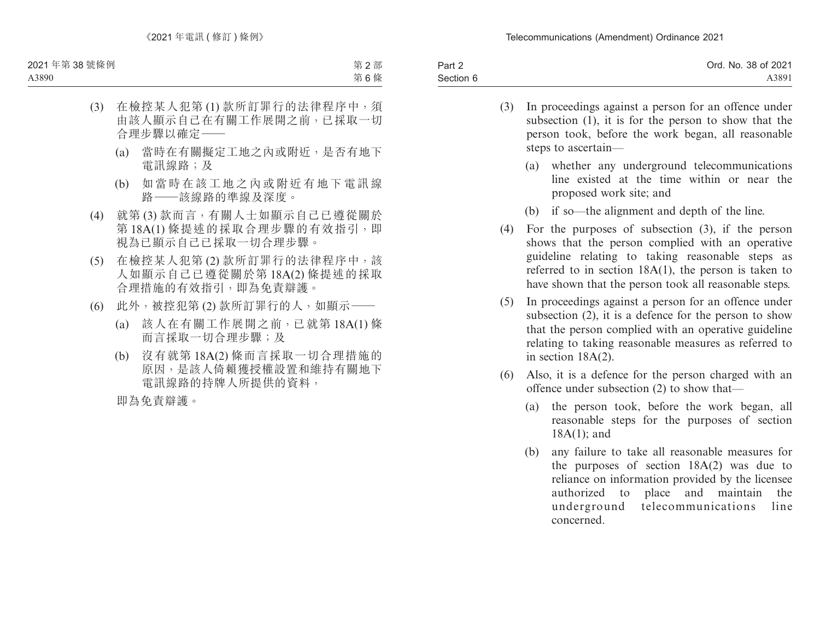Telecommunications (Amendment) Ordinance 2021

| Part 2    | Ord. No. 38 of 2021 |
|-----------|---------------------|
| Section 6 | A3891               |

- (3) In proceedings against a person for an offence under subsection (1), it is for the person to show that the person took, before the work began, all reasonable steps to ascertain—
	- (a) whether any underground telecommunications line existed at the time within or near the proposed work site; and
	- (b) if so—the alignment and depth of the line.
- (4) For the purposes of subsection (3), if the person shows that the person complied with an operative guideline relating to taking reasonable steps as referred to in section 18A(1), the person is taken to have shown that the person took all reasonable steps.
- (5) In proceedings against a person for an offence under subsection (2), it is a defence for the person to show that the person complied with an operative guideline relating to taking reasonable measures as referred to in section 18A(2).
- (6) Also, it is a defence for the person charged with an offence under subsection (2) to show that—
	- (a) the person took, before the work began, all reasonable steps for the purposes of section 18A(1); and
	- (b) any failure to take all reasonable measures for the purposes of section 18A(2) was due to reliance on information provided by the licensee authorized to place and maintain the underground telecommunications line concerned.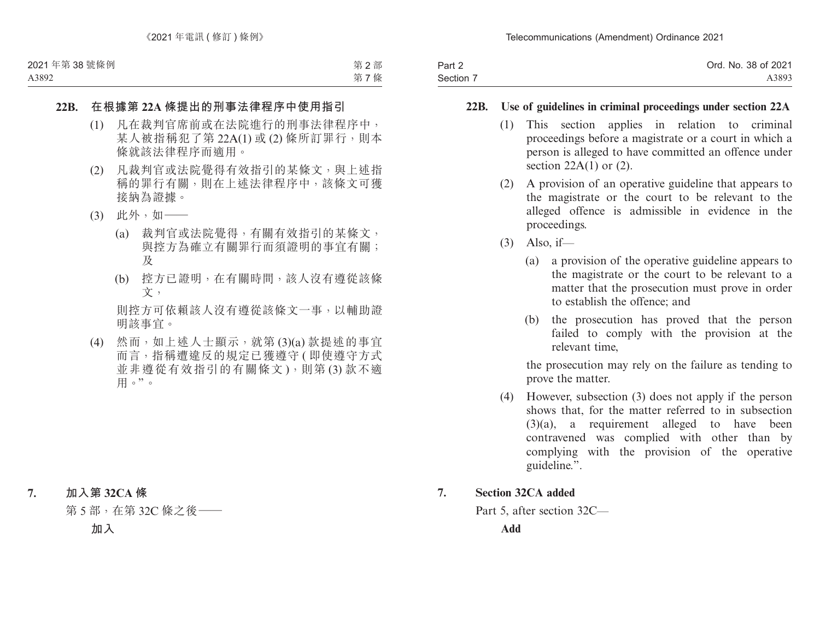| Part 2    | Ord. No. 38 of 2021 |
|-----------|---------------------|
| Section 7 | A3893               |

#### **22B. Use of guidelines in criminal proceedings under section 22A**

- (1) This section applies in relation to criminal proceedings before a magistrate or a court in which a person is alleged to have committed an offence under section  $22A(1)$  or  $(2)$ .
- (2) A provision of an operative guideline that appears to the magistrate or the court to be relevant to the alleged offence is admissible in evidence in the proceedings.
- $(3)$  Also, if
	- (a) a provision of the operative guideline appears to the magistrate or the court to be relevant to a matter that the prosecution must prove in order to establish the offence; and
	- (b) the prosecution has proved that the person failed to comply with the provision at the relevant time,

the prosecution may rely on the failure as tending to prove the matter.

(4) However, subsection (3) does not apply if the person shows that, for the matter referred to in subsection (3)(a), a requirement alleged to have been contravened was complied with other than by complying with the provision of the operative guideline.".

#### **7. Section 32CA added**

Part 5, after section 32C—

**Add**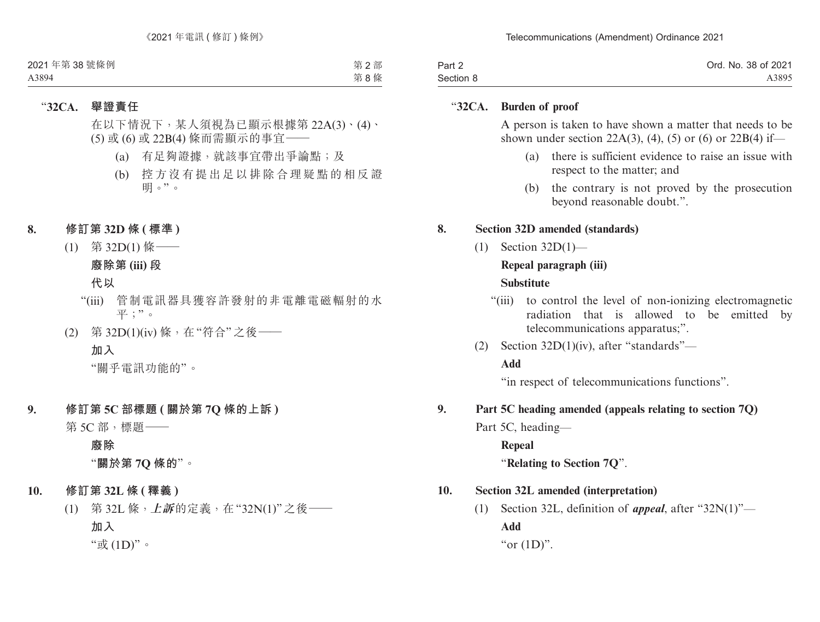| Part 2    | Ord. No. 38 of 2021 |
|-----------|---------------------|
| Section 8 | A3895               |

#### "**32CA. Burden of proof**

A person is taken to have shown a matter that needs to be shown under section 22A(3), (4), (5) or (6) or 22B(4) if—

- (a) there is sufficient evidence to raise an issue with respect to the matter; and
- (b) the contrary is not proved by the prosecution beyond reasonable doubt.".

#### **8. Section 32D amended (standards)**

(1) Section 32D(1)—

### **Repeal paragraph (iii)**

#### **Substitute**

- "(iii) to control the level of non-ionizing electromagnetic radiation that is allowed to be emitted by telecommunications apparatus;".
- (2) Section 32D(1)(iv), after "standards"—

#### **Add**

"in respect of telecommunications functions".

#### **9. Part 5C heading amended (appeals relating to section 7Q)**

- Part 5C, heading—
	- **Repeal**

"**Relating to Section 7Q**".

## **10. Section 32L amended (interpretation)**

(1) Section 32L, definition of *appeal*, after "32N(1)"— **Add** "or  $(1D)$ ".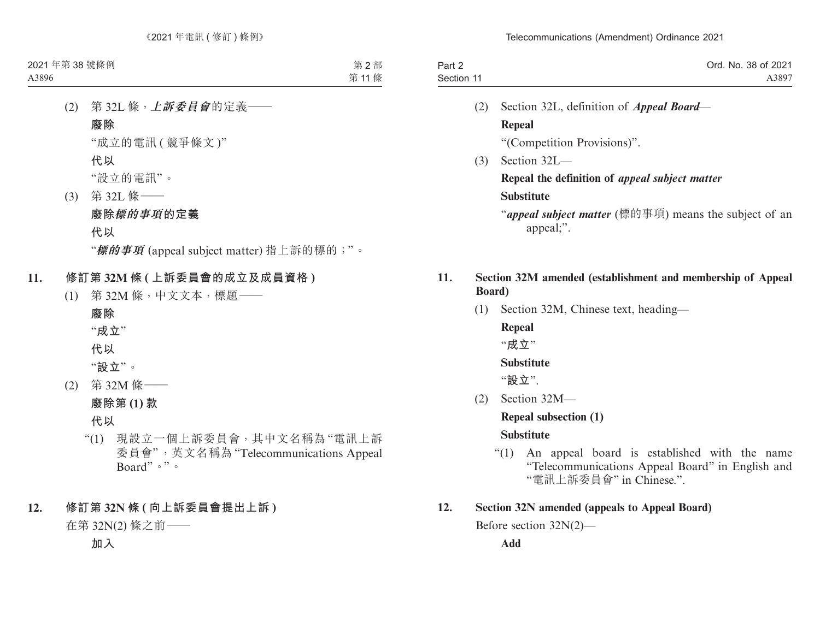| Part 2     | Ord. No. 38 of 2021 |
|------------|---------------------|
| Section 11 | A3897               |

(2) Section 32L, definition of *Appeal Board*— **Repeal**

"(Competition Provisions)".

(3) Section 32L—

**Repeal the definition of** *appeal subject matter* **Substitute**

"*appeal subject matter* (標的事項) means the subject of an appeal;".

### **11. Section 32M amended (establishment and membership of Appeal Board)**

(1) Section 32M, Chinese text, heading—

**Repeal** "**成立**"

**Substitute**

"**設立**".

(2) Section 32M—

**Repeal subsection (1)**

## **Substitute**

"(1) An appeal board is established with the name "Telecommunications Appeal Board" in English and "電訊上訴委員會" in Chinese.".

## **12. Section 32N amended (appeals to Appeal Board)**

Before section 32N(2)—

**Add**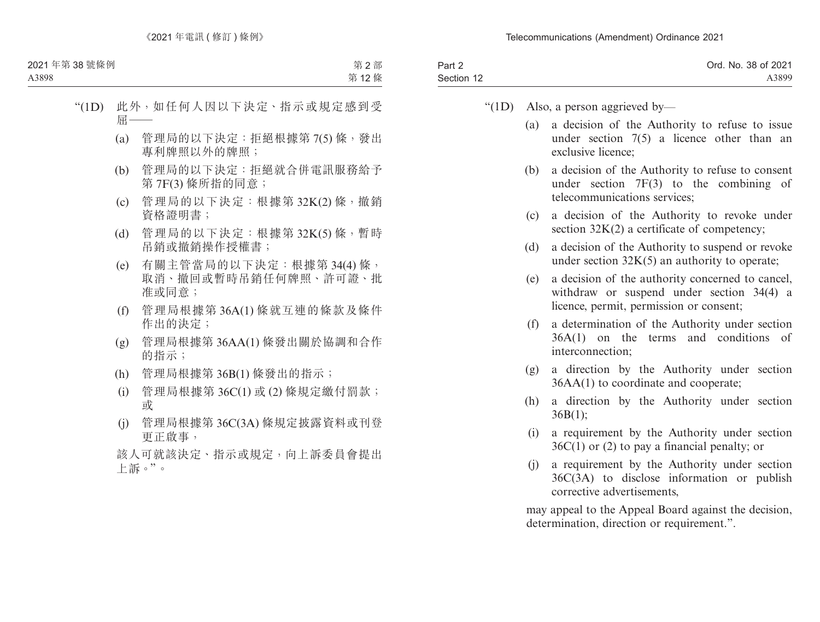| Part 2     | Ord. No. 38 of 2021 |
|------------|---------------------|
| Section 12 | A3899               |

- " $(1D)$  Also, a person aggrieved by—
	- (a) a decision of the Authority to refuse to issue under section 7(5) a licence other than an exclusive licence;
	- (b) a decision of the Authority to refuse to consent under section 7F(3) to the combining of telecommunications services;
	- (c) a decision of the Authority to revoke under section  $32K(2)$  a certificate of competency;
	- (d) a decision of the Authority to suspend or revoke under section  $32K(5)$  an authority to operate;
	- (e) a decision of the authority concerned to cancel, withdraw or suspend under section 34(4) a licence, permit, permission or consent;
	- (f) a determination of the Authority under section 36A(1) on the terms and conditions of interconnection;
	- (g) a direction by the Authority under section 36AA(1) to coordinate and cooperate;
	- (h) a direction by the Authority under section  $36B(1);$
	- (i) a requirement by the Authority under section  $36C(1)$  or (2) to pay a financial penalty; or
	- (j) a requirement by the Authority under section 36C(3A) to disclose information or publish corrective advertisements,

may appeal to the Appeal Board against the decision, determination, direction or requirement.".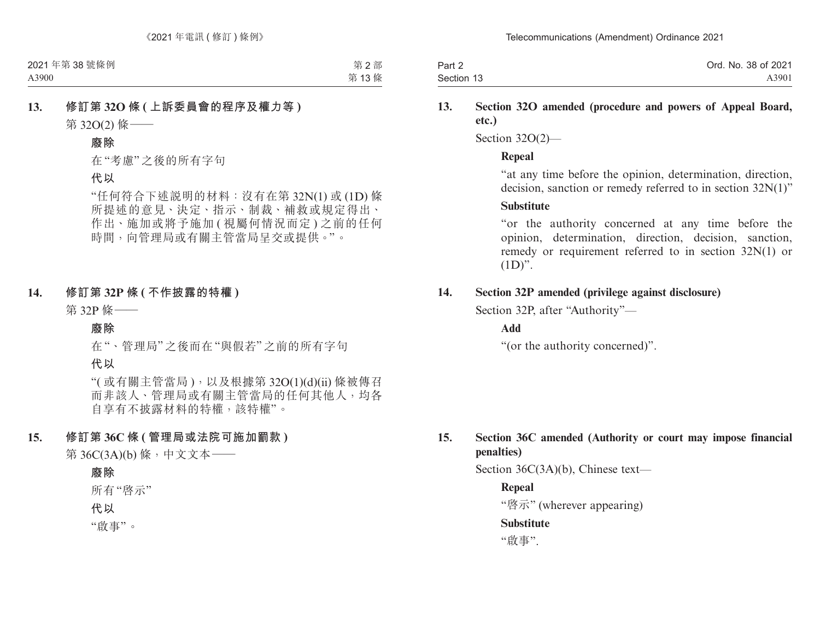| Part 2     | Ord. No. 38 of 2021 |
|------------|---------------------|
| Section 13 | A3901               |

#### **13. Section 32O amended (procedure and powers of Appeal Board, etc.)**

Section 32O(2)—

#### **Repeal**

"at any time before the opinion, determination, direction, decision, sanction or remedy referred to in section 32N(1)"

#### **Substitute**

"or the authority concerned at any time before the opinion, determination, direction, decision, sanction, remedy or requirement referred to in section 32N(1) or  $(1D)$ ".

### **14. Section 32P amended (privilege against disclosure)**

Section 32P, after "Authority"—

#### **Add**

"(or the authority concerned)".

## **15. Section 36C amended (Authority or court may impose financial penalties)**

Section 36C(3A)(b), Chinese text—

#### **Repeal**

"啓示" (wherever appearing)

#### **Substitute**

"啟事".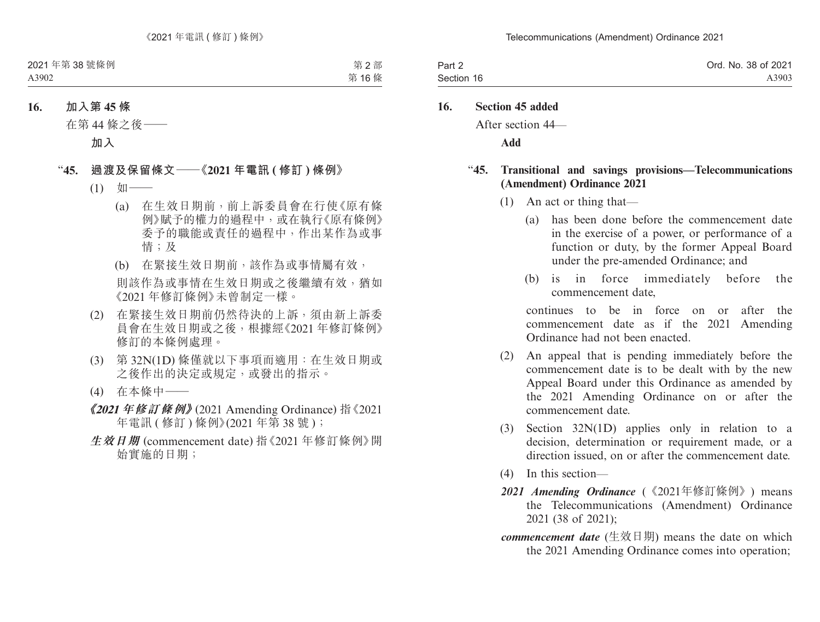| Part 2     | Ord. No. 38 of 2021 |
|------------|---------------------|
| Section 16 | A3903               |

#### **16. Section 45 added**

After section 44—

**Add**

#### "**45. Transitional and savings provisions—Telecommunications (Amendment) Ordinance 2021**

- (1) An act or thing that—
	- (a) has been done before the commencement date in the exercise of a power, or performance of a function or duty, by the former Appeal Board under the pre-amended Ordinance; and
	- (b) is in force immediately before the commencement date,

continues to be in force on or after the commencement date as if the 2021 Amending Ordinance had not been enacted.

- (2) An appeal that is pending immediately before the commencement date is to be dealt with by the new Appeal Board under this Ordinance as amended by the 2021 Amending Ordinance on or after the commencement date.
- (3) Section 32N(1D) applies only in relation to a decision, determination or requirement made, or a direction issued, on or after the commencement date.
- (4) In this section—
- *2021 Amending Ordinance* (《2021年修訂條例》) means the Telecommunications (Amendment) Ordinance 2021 (38 of 2021);
- *commencement date* (生效日期) means the date on which the 2021 Amending Ordinance comes into operation;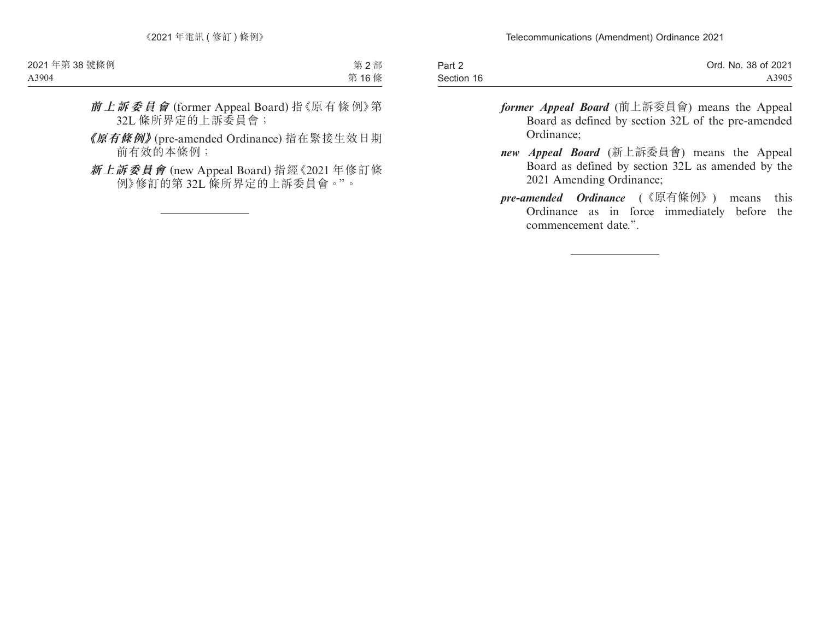| Part 2     | Ord. No. 38 of 2021 |
|------------|---------------------|
| Section 16 | A3905               |

- *former Appeal Board* (前上訴委員會) means the Appeal Board as defined by section 32L of the pre-amended Ordinance;
- *new Appeal Board* (新上訴委員會) means the Appeal Board as defined by section 32L as amended by the 2021 Amending Ordinance;
- *pre-amended Ordinance* (《原有條例》) means this Ordinance as in force immediately before the commencement date.".